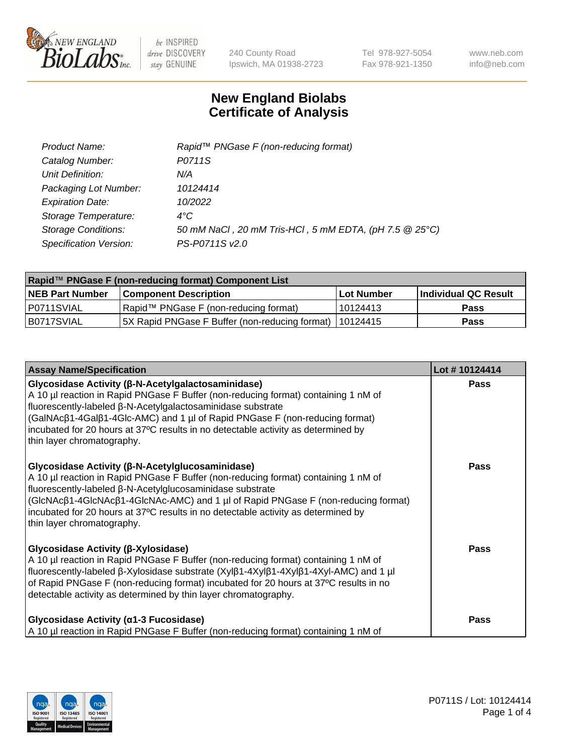

240 County Road Ipswich, MA 01938-2723 Tel 978-927-5054 Fax 978-921-1350 www.neb.com info@neb.com

## **New England Biolabs Certificate of Analysis**

| Product Name:              | Rapid <sup>™</sup> PNGase F (non-reducing format)      |
|----------------------------|--------------------------------------------------------|
| Catalog Number:            | P0711S                                                 |
| Unit Definition:           | N/A                                                    |
| Packaging Lot Number:      | 10124414                                               |
| <b>Expiration Date:</b>    | 10/2022                                                |
| Storage Temperature:       | $4^{\circ}$ C                                          |
| <b>Storage Conditions:</b> | 50 mM NaCl, 20 mM Tris-HCl, 5 mM EDTA, (pH 7.5 @ 25°C) |
| Specification Version:     | PS-P0711S v2.0                                         |

| Rapid™ PNGase F (non-reducing format) Component List |                                                         |                   |                      |  |
|------------------------------------------------------|---------------------------------------------------------|-------------------|----------------------|--|
| <b>NEB Part Number</b>                               | <b>Component Description</b>                            | <b>Lot Number</b> | Individual QC Result |  |
| I P0711SVIAL                                         | Rapid™ PNGase F (non-reducing format)                   | 10124413          | <b>Pass</b>          |  |
| IB0717SVIAL                                          | 5X Rapid PNGase F Buffer (non-reducing format) 10124415 |                   | <b>Pass</b>          |  |

| <b>Assay Name/Specification</b>                                                                                                                                                                                                                                                                                                                                                                                    | Lot #10124414 |
|--------------------------------------------------------------------------------------------------------------------------------------------------------------------------------------------------------------------------------------------------------------------------------------------------------------------------------------------------------------------------------------------------------------------|---------------|
| <b>Glycosidase Activity (β-N-Acetylgalactosaminidase)</b><br>A 10 µl reaction in Rapid PNGase F Buffer (non-reducing format) containing 1 nM of<br>fluorescently-labeled β-N-Acetylgalactosaminidase substrate<br>(GalNAcβ1-4Galβ1-4Glc-AMC) and 1 µl of Rapid PNGase F (non-reducing format)<br>incubated for 20 hours at 37°C results in no detectable activity as determined by<br>thin layer chromatography.   | <b>Pass</b>   |
| <b>Glycosidase Activity (β-N-Acetylglucosaminidase)</b><br>A 10 µl reaction in Rapid PNGase F Buffer (non-reducing format) containing 1 nM of<br>fluorescently-labeled β-N-Acetylglucosaminidase substrate<br>(GIcNAcβ1-4GIcNAcβ1-4GIcNAc-AMC) and 1 µl of Rapid PNGase F (non-reducing format)<br>incubated for 20 hours at 37°C results in no detectable activity as determined by<br>thin layer chromatography. | Pass          |
| <b>Glycosidase Activity (β-Xylosidase)</b><br>A 10 µl reaction in Rapid PNGase F Buffer (non-reducing format) containing 1 nM of<br>fluorescently-labeled β-Xylosidase substrate (Xylβ1-4Xylβ1-4Xylβ1-4Xyl-AMC) and 1 µl<br>of Rapid PNGase F (non-reducing format) incubated for 20 hours at 37°C results in no<br>detectable activity as determined by thin layer chromatography.                                | <b>Pass</b>   |
| Glycosidase Activity (α1-3 Fucosidase)<br>A 10 µl reaction in Rapid PNGase F Buffer (non-reducing format) containing 1 nM of                                                                                                                                                                                                                                                                                       | <b>Pass</b>   |

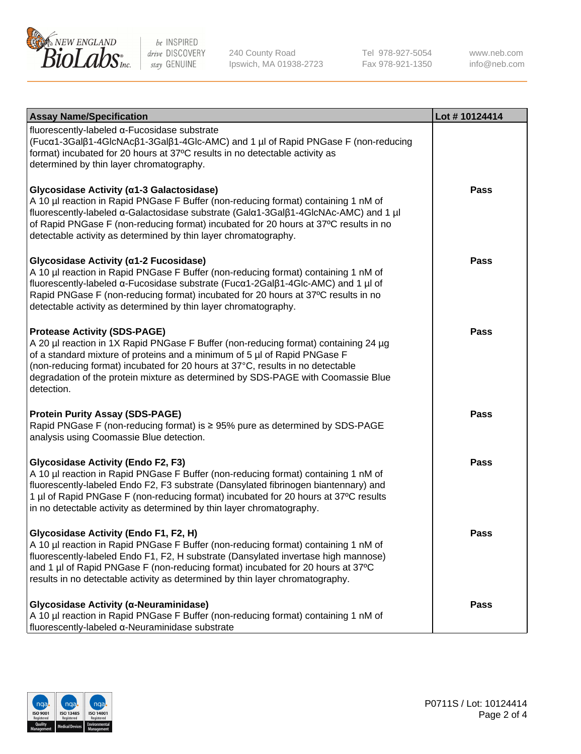

240 County Road Ipswich, MA 01938-2723 Tel 978-927-5054 Fax 978-921-1350

www.neb.com info@neb.com

| <b>Assay Name/Specification</b>                                                                                                                                                                                                                                                                                                                                                             | Lot #10124414 |
|---------------------------------------------------------------------------------------------------------------------------------------------------------------------------------------------------------------------------------------------------------------------------------------------------------------------------------------------------------------------------------------------|---------------|
| fluorescently-labeled α-Fucosidase substrate<br>(Fucα1-3Galβ1-4GlcNAcβ1-3Galβ1-4Glc-AMC) and 1 µl of Rapid PNGase F (non-reducing<br>format) incubated for 20 hours at 37°C results in no detectable activity as<br>determined by thin layer chromatography.                                                                                                                                |               |
| Glycosidase Activity (α1-3 Galactosidase)<br>A 10 µl reaction in Rapid PNGase F Buffer (non-reducing format) containing 1 nM of<br>fluorescently-labeled α-Galactosidase substrate (Galα1-3Galβ1-4GlcNAc-AMC) and 1 µl<br>of Rapid PNGase F (non-reducing format) incubated for 20 hours at 37°C results in no<br>detectable activity as determined by thin layer chromatography.           | <b>Pass</b>   |
| Glycosidase Activity (α1-2 Fucosidase)<br>A 10 µl reaction in Rapid PNGase F Buffer (non-reducing format) containing 1 nM of<br>fluorescently-labeled α-Fucosidase substrate (Fucα1-2Galβ1-4Glc-AMC) and 1 µl of<br>Rapid PNGase F (non-reducing format) incubated for 20 hours at 37°C results in no<br>detectable activity as determined by thin layer chromatography.                    | <b>Pass</b>   |
| <b>Protease Activity (SDS-PAGE)</b><br>A 20 µl reaction in 1X Rapid PNGase F Buffer (non-reducing format) containing 24 µg<br>of a standard mixture of proteins and a minimum of 5 µl of Rapid PNGase F<br>(non-reducing format) incubated for 20 hours at 37°C, results in no detectable<br>degradation of the protein mixture as determined by SDS-PAGE with Coomassie Blue<br>detection. | <b>Pass</b>   |
| <b>Protein Purity Assay (SDS-PAGE)</b><br>Rapid PNGase F (non-reducing format) is ≥ 95% pure as determined by SDS-PAGE<br>analysis using Coomassie Blue detection.                                                                                                                                                                                                                          | <b>Pass</b>   |
| <b>Glycosidase Activity (Endo F2, F3)</b><br>A 10 µl reaction in Rapid PNGase F Buffer (non-reducing format) containing 1 nM of<br>fluorescently-labeled Endo F2, F3 substrate (Dansylated fibrinogen biantennary) and<br>1 µl of Rapid PNGase F (non-reducing format) incubated for 20 hours at 37°C results<br>in no detectable activity as determined by thin layer chromatography.      | <b>Pass</b>   |
| Glycosidase Activity (Endo F1, F2, H)<br>A 10 µl reaction in Rapid PNGase F Buffer (non-reducing format) containing 1 nM of<br>fluorescently-labeled Endo F1, F2, H substrate (Dansylated invertase high mannose)<br>and 1 µl of Rapid PNGase F (non-reducing format) incubated for 20 hours at 37°C<br>results in no detectable activity as determined by thin layer chromatography.       | Pass          |
| Glycosidase Activity (α-Neuraminidase)<br>A 10 µl reaction in Rapid PNGase F Buffer (non-reducing format) containing 1 nM of<br>fluorescently-labeled α-Neuraminidase substrate                                                                                                                                                                                                             | <b>Pass</b>   |

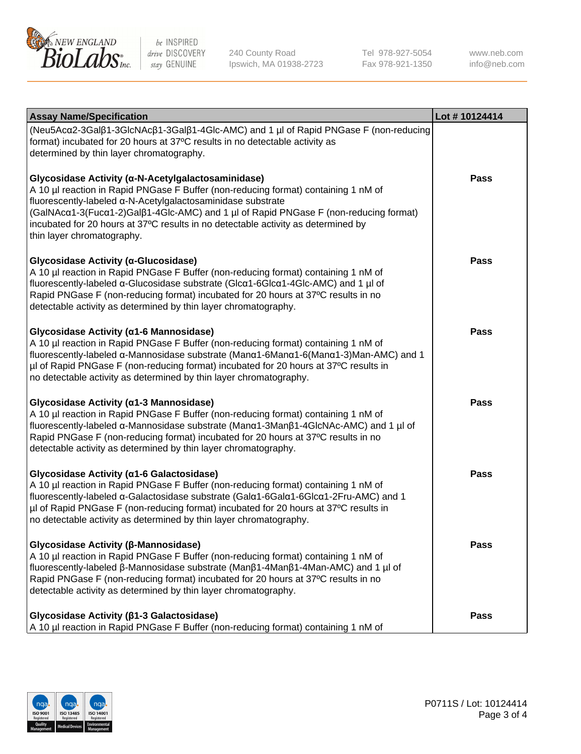

240 County Road Ipswich, MA 01938-2723 Tel 978-927-5054 Fax 978-921-1350

www.neb.com info@neb.com

| <b>Assay Name/Specification</b>                                                                                                                                                                                                                                                                                                                                                                                                                                                                                                                                                                                                       | Lot #10124414 |
|---------------------------------------------------------------------------------------------------------------------------------------------------------------------------------------------------------------------------------------------------------------------------------------------------------------------------------------------------------------------------------------------------------------------------------------------------------------------------------------------------------------------------------------------------------------------------------------------------------------------------------------|---------------|
| (Neu5Acα2-3Galβ1-3GlcNAcβ1-3Galβ1-4Glc-AMC) and 1 µl of Rapid PNGase F (non-reducing<br>format) incubated for 20 hours at 37°C results in no detectable activity as<br>determined by thin layer chromatography.<br>Glycosidase Activity (a-N-Acetylgalactosaminidase)<br>A 10 µl reaction in Rapid PNGase F Buffer (non-reducing format) containing 1 nM of<br>fluorescently-labeled a-N-Acetylgalactosaminidase substrate<br>(GalNAcα1-3(Fucα1-2)Galβ1-4Glc-AMC) and 1 µl of Rapid PNGase F (non-reducing format)<br>incubated for 20 hours at 37°C results in no detectable activity as determined by<br>thin layer chromatography. | <b>Pass</b>   |
| Glycosidase Activity (α-Glucosidase)<br>A 10 µl reaction in Rapid PNGase F Buffer (non-reducing format) containing 1 nM of<br>fluorescently-labeled α-Glucosidase substrate (Glcα1-6Glcα1-4Glc-AMC) and 1 µl of<br>Rapid PNGase F (non-reducing format) incubated for 20 hours at 37°C results in no<br>detectable activity as determined by thin layer chromatography.                                                                                                                                                                                                                                                               | <b>Pass</b>   |
| Glycosidase Activity (α1-6 Mannosidase)<br>A 10 µl reaction in Rapid PNGase F Buffer (non-reducing format) containing 1 nM of<br>fluorescently-labeled α-Mannosidase substrate (Manα1-6Manα1-6(Manα1-3)Man-AMC) and 1<br>µl of Rapid PNGase F (non-reducing format) incubated for 20 hours at 37°C results in<br>no detectable activity as determined by thin layer chromatography.                                                                                                                                                                                                                                                   | <b>Pass</b>   |
| Glycosidase Activity (α1-3 Mannosidase)<br>A 10 µl reaction in Rapid PNGase F Buffer (non-reducing format) containing 1 nM of<br>fluorescently-labeled α-Mannosidase substrate (Manα1-3Manβ1-4GlcNAc-AMC) and 1 µl of<br>Rapid PNGase F (non-reducing format) incubated for 20 hours at 37°C results in no<br>detectable activity as determined by thin layer chromatography.                                                                                                                                                                                                                                                         | <b>Pass</b>   |
| Glycosidase Activity (α1-6 Galactosidase)<br>A 10 µl reaction in Rapid PNGase F Buffer (non-reducing format) containing 1 nM of<br>fluorescently-labeled α-Galactosidase substrate (Galα1-6Galα1-6Glcα1-2Fru-AMC) and 1<br>µl of Rapid PNGase F (non-reducing format) incubated for 20 hours at 37°C results in<br>no detectable activity as determined by thin layer chromatography.                                                                                                                                                                                                                                                 | <b>Pass</b>   |
| Glycosidase Activity (β-Mannosidase)<br>A 10 µl reaction in Rapid PNGase F Buffer (non-reducing format) containing 1 nM of<br>fluorescently-labeled β-Mannosidase substrate (Manβ1-4Manβ1-4Man-AMC) and 1 µl of<br>Rapid PNGase F (non-reducing format) incubated for 20 hours at 37°C results in no<br>detectable activity as determined by thin layer chromatography.                                                                                                                                                                                                                                                               | <b>Pass</b>   |
| Glycosidase Activity (β1-3 Galactosidase)<br>A 10 µl reaction in Rapid PNGase F Buffer (non-reducing format) containing 1 nM of                                                                                                                                                                                                                                                                                                                                                                                                                                                                                                       | <b>Pass</b>   |